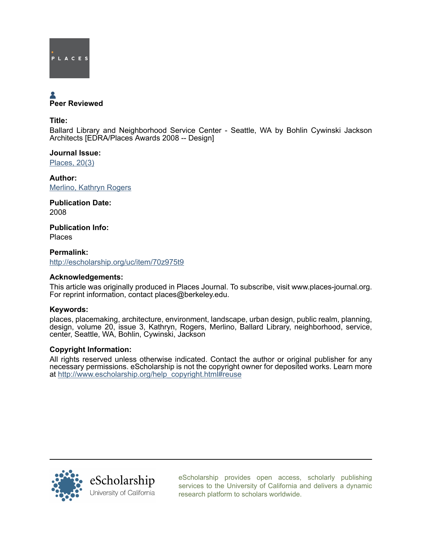

# Peer Reviewed

Title:

Ballard Library and Neighborhood Service Center - Seattle, WA by Bohlin Cywinski Jackson Architects [EDRA/Places Awards 2008 -- Design]

Journal Issue: [Places, 20\(3\)](http://escholarship.org/uc/ced_places?volume=20;issue=3)

Author: [Merlino, Kathryn Rogers](http://escholarship.org/uc/search?creator=Merlino%2C%20Kathryn%20Rogers)

Publication Date: 2008

Publication Info: Places

Permalink: <http://escholarship.org/uc/item/70z975t9>

# Acknowledgements:

This article was originally produced in Places Journal. To subscribe, visit www.places-journal.org. For reprint information, contact places@berkeley.edu.

## Keywords:

places, placemaking, architecture, environment, landscape, urban design, public realm, planning, design, volume 20, issue 3, Kathryn, Rogers, Merlino, Ballard Library, neighborhood, service, center, Seattle, WA, Bohlin, Cywinski, Jackson

## Copyright Information:

All rights reserved unless otherwise indicated. Contact the author or original publisher for any necessary permissions. eScholarship is not the copyright owner for deposited works. Learn more at [http://www.escholarship.org/help\\_copyright.html#reuse](http://www.escholarship.org/help_copyright.html#reuse)



[eScholarship provides open access, scholarly publishing](http://escholarship.org) [services to the University of California and delivers a dynamic](http://escholarship.org) [research platform to scholars worldwide.](http://escholarship.org)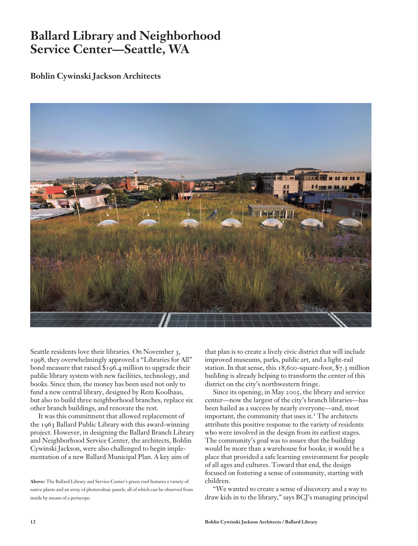# **Ballard Library and Neighborhood Service Center—Seattle, WA**

**Bohlin Cywinski Jackson Architects**



Seattle residents love their libraries. On November 3, 1998, they overwhelmingly approved a "Libraries for All" bond measure that raised \$196.4 million to upgrade their public library system with new facilities, technology, and books. Since then, the money has been used not only to fund a new central library, designed by Rem Koolhaas, but also to build three neighborhood branches, replace six other branch buildings, and renovate the rest.

It was this commitment that allowed replacement of the 1963 Ballard Public Library with this award-winning project. However, in designing the Ballard Branch Library and Neighborhood Service Center, the architects, Bohlin Cywinski Jackson, were also challenged to begin implementation of a new Ballard Municipal Plan. A key aim of

that plan is to create a lively civic district that will include improved museums, parks, public art, and a light-rail station. In that sense, this 18,600-square-foot, \$7.3 million building is already helping to transform the center of this district on the city's northwestern fringe.

Since its opening, in May 2005, the library and service center—now the largest of the city's branch libraries—has been hailed as a success by nearly everyone—and, most important, the community that uses it.<sup>1</sup> The architects attribute this positive response to the variety of residents who were involved in the design from its earliest stages. The community's goal was to assure that the building would be more than a warehouse for books; it would be a place that provided a safe learning environment for people of all ages and cultures. Toward that end, the design focused on fostering a sense of community, starting with children.

"We wanted to create a sense of discovery and a way to draw kids in to the library," says BCJ's managing principal

**Above:** The Ballard Library and Service Center's green roof features a variety of native plants and an array of photovoltaic panels, all of which can be observed from inside by means of a periscope.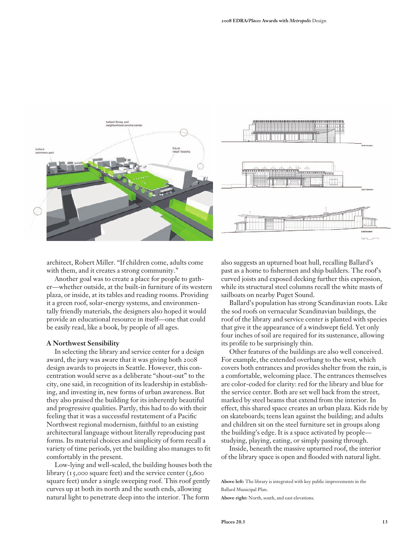

architect, Robert Miller. "If children come, adults come with them, and it creates a strong community."

Another goal was to create a place for people to gather—whether outside, at the built-in furniture of its western plaza, or inside, at its tables and reading rooms. Providing it a green roof, solar-energy systems, and environmentally friendly materials, the designers also hoped it would provide an educational resource in itself—one that could be easily read, like a book, by people of all ages.

#### **A Northwest Sensibility**

In selecting the library and service center for a design award, the jury was aware that it was giving both 2008 design awards to projects in Seattle. However, this concentration would serve as a deliberate "shout-out" to the city, one said, in recognition of its leadership in establishing, and investing in, new forms of urban awareness. But they also praised the building for its inherently beautiful and progressive qualities. Partly, this had to do with their feeling that it was a successful restatement of a Pacific Northwest regional modernism, faithful to an existing architectural language without literally reproducing past forms. Its material choices and simplicity of form recall a variety of time periods, yet the building also manages to fit comfortably in the present.

Low-lying and well-scaled, the building houses both the library  $(15,000)$  square feet) and the service center  $(3,600)$ square feet) under a single sweeping roof. This roof gently curves up at both its north and the south ends, allowing natural light to penetrate deep into the interior. The form

also suggests an upturned boat hull, recalling Ballard's past as a home to fishermen and ship builders. The roof's curved joists and exposed decking further this expression, while its structural steel columns recall the white masts of sailboats on nearby Puget Sound.

Ballard's population has strong Scandinavian roots. Like the sod roofs on vernacular Scandinavian buildings, the roof of the library and service center is planted with species that give it the appearance of a windswept field. Yet only four inches of soil are required for its sustenance, allowing its profile to be surprisingly thin.

Other features of the buildings are also well conceived. For example, the extended overhang to the west, which covers both entrances and provides shelter from the rain, is a comfortable, welcoming place. The entrances themselves are color-coded for clarity: red for the library and blue for the service center. Both are set well back from the street, marked by steel beams that extend from the interior. In effect, this shared space creates an urban plaza. Kids ride by on skateboards; teens lean against the building; and adults and children sit on the steel furniture set in groups along the building's edge. It is a space activated by people studying, playing, eating, or simply passing through.

Inside, beneath the massive upturned roof, the interior of the library space is open and flooded with natural light.

**Above left:** The library is integrated with key public improvements in the Ballard Municipal Plan.

**Above right:** North, south, and east elevations.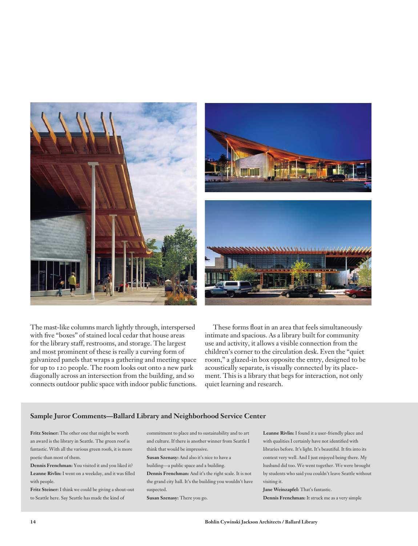

The mast-like columns march lightly through, interspersed with five "boxes" of stained local cedar that house areas for the library staff, restrooms, and storage. The largest and most prominent of these is really a curving form of galvanized panels that wraps a gathering and meeting space for up to 120 people. The room looks out onto a new park diagonally across an intersection from the building, and so connects outdoor public space with indoor public functions.

These forms float in an area that feels simultaneously intimate and spacious. As a library built for community use and activity, it allows a visible connection from the children's corner to the circulation desk. Even the "quiet room," a glazed-in box opposite the entry, designed to be acoustically separate, is visually connected by its placement. This is a library that begs for interaction, not only quiet learning and research.

#### **Sample Juror Comments—Ballard Library and Neighborhood Service Center**

**Fritz Steiner:** The other one that might be worth an award is the library in Seattle. The green roof is fantastic. With all the various green roofs, it is more poetic than most of them.

**Dennis Frenchman:** You visited it and you liked it? **Leanne Rivlin:** I went on a weekday, and it was filled with people.

**Fritz Steiner:** I think we could be giving a shout-out to Seattle here. Say Seattle has made the kind of

commitment to place and to sustainability and to art and culture. If there is another winner from Seattle I think that would be impressive.

**Susan Szenasy:** And also it's nice to have a

building—a public space and a building.

**Dennis Frenchman:** And it's the right scale. It is not the grand city hall. It's the building you wouldn't have suspected.

**Susan Szenasy:** There you go.

**Leanne Rivlin:** I found it a user-friendly place and with qualities I certainly have not identified with libraries before. It's light. It's beautiful. It fits into its context very well. And I just enjoyed being there. My husband did too. We went together. We were brought by students who said you couldn't leave Seattle without visiting it.

**Jane Weinzapfel:** That's fantastic. **Dennis Frenchman:** It struck me as a very simple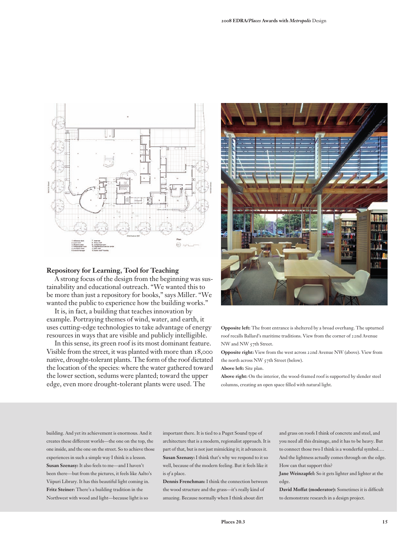

#### **Repository for Learning, Tool for Teaching**

A strong focus of the design from the beginning was sustainability and educational outreach. "We wanted this to be more than just a repository for books," says Miller. "We wanted the public to experience how the building works."

It is, in fact, a building that teaches innovation by example. Portraying themes of wind, water, and earth, it uses cutting-edge technologies to take advantage of energy resources in ways that are visible and publicly intelligible.

In this sense, its green roof is its most dominant feature. Visible from the street, it was planted with more than 18,000 native, drought-tolerant plants. The form of the roof dictated the location of the species: where the water gathered toward the lower section, sedums were planted; toward the upper edge, even more drought-tolerant plants were used. The



**Opposite left:** The front entrance is sheltered by a broad overhang. The upturned roof recalls Ballard's maritime traditions. View from the corner of 22nd Avenue NW and NW 57th Street.

**Opposite right:** View from the west across 22nd Avenue NW (above). View from the north across NW 57th Street (below).

**Above left:** Site plan.

**Above right:** On the interior, the wood-framed roof is supported by slender steel columns, creating an open space filled with natural light.

building. And yet its achievement is enormous. And it creates these different worlds—the one on the top, the one inside, and the one on the street. So to achieve those experiences in such a simple way I think is a lesson. **Susan Szenasy:** It also feels to me—and I haven't been there—but from the pictures, it feels like Aalto's Viipuri Library. It has this beautiful light coming in. **Fritz Steiner:** There's a building tradition in the Northwest with wood and light—because light is so

important there. It is tied to a Puget Sound type of architecture that is a modern, regionalist approach. It is part of that, but is not just mimicking it; it advances it. **Susan Szenasy:** I think that's why we respond to it so well, because of the modern feeling. But it feels like it is *of* a place.

**Dennis Frenchman:** I think the connection between the wood structure and the grass—it's really kind of amazing. Because normally when I think about dirt

and grass on roofs I think of concrete and steel, and you need all this drainage, and it has to be heavy. But to connect those two I think is a wonderful symbol.… And the lightness actually comes through on the edge. How can that support this?

**Jane Weinzapfel:** So it gets lighter and lighter at the edge.

**David Moffat (moderator):** Sometimes it is difficult to demonstrate research in a design project.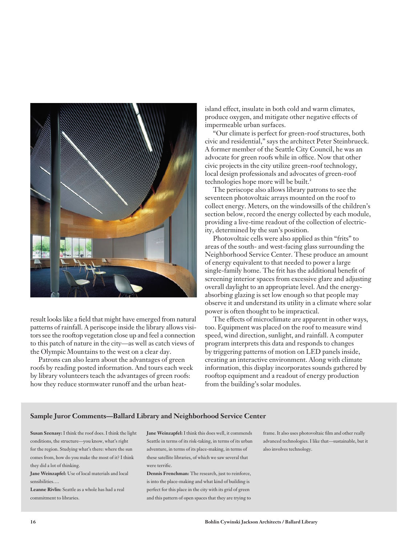

result looks like a field that might have emerged from natural patterns of rainfall. A periscope inside the library allows visitors see the rooftop vegetation close up and feel a connection to this patch of nature in the city—as well as catch views of the Olympic Mountains to the west on a clear day.

Patrons can also learn about the advantages of green roofs by reading posted information. And tours each week by library volunteers teach the advantages of green roofs: how they reduce stormwater runoff and the urban heatisland effect, insulate in both cold and warm climates, produce oxygen, and mitigate other negative effects of impermeable urban surfaces.

"Our climate is perfect for green-roof structures, both civic and residential," says the architect Peter Steinbrueck. A former member of the Seattle City Council, he was an advocate for green roofs while in office. Now that other civic projects in the city utilize green-roof technology, local design professionals and advocates of green-roof technologies hope more will be built.<sup>2</sup>

The periscope also allows library patrons to see the seventeen photovoltaic arrays mounted on the roof to collect energy. Meters, on the windowsills of the children's section below, record the energy collected by each module, providing a live-time readout of the collection of electricity, determined by the sun's position.

Photovoltaic cells were also applied as thin "frits" to areas of the south- and west-facing glass surrounding the Neighborhood Service Center. These produce an amount of energy equivalent to that needed to power a large single-family home. The frit has the additional benefit of screening interior spaces from excessive glare and adjusting overall daylight to an appropriate level. And the energyabsorbing glazing is set low enough so that people may observe it and understand its utility in a climate where solar power is often thought to be impractical.

The effects of microclimate are apparent in other ways, too. Equipment was placed on the roof to measure wind speed, wind direction, sunlight, and rainfall. A computer program interprets this data and responds to changes by triggering patterns of motion on LED panels inside, creating an interactive environment. Along with climate information, this display incorporates sounds gathered by rooftop equipment and a readout of energy production from the building's solar modules.

#### **Sample Juror Comments—Ballard Library and Neighborhood Service Center**

**Susan Szenasy:** I think the roof does. I think the light conditions, the structure—you know, what's right for the region. Studying what's there: where the sun comes from, how do you make the most of it? I think they did a lot of thinking.

**Jane Weinzapfel:** Use of local materials and local sensibilities….

**Leanne Rivlin:** Seattle as a whole has had a real commitment to libraries.

**Jane Weinzapfel:** I think this does well, it commends Seattle in terms of its risk-taking, in terms of its urban adventure, in terms of its place-making, in terms of these satellite libraries, of which we saw several that were terrific.

**Dennis Frenchman:** The research, just to reinforce, is into the place-making and what kind of building is perfect for this place in the city with its grid of green and this pattern of open spaces that they are trying to frame. It also uses photovoltaic film and other really advanced technologies. I like that—sustainable, but it also involves technology.